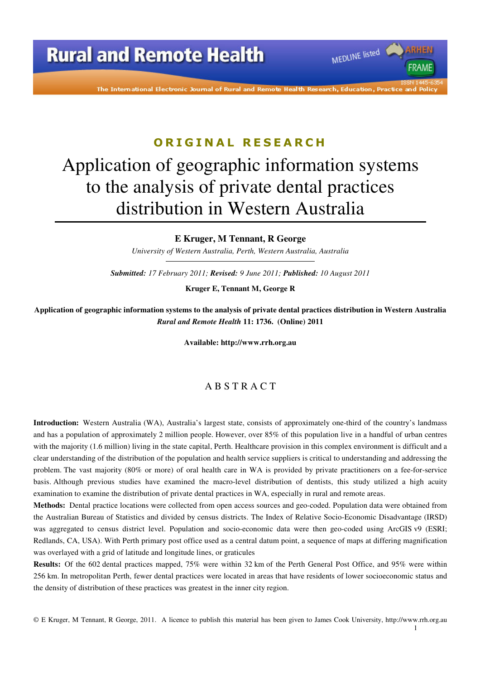The International Electronic Journal of Rural and Remote Health Research, Education, Practice and Polic

MEDLINE listed

**FRAME** 

### **O R I G I N A L R E S E A R C H**

# Application of geographic information systems to the analysis of private dental practices distribution in Western Australia

**E Kruger, M Tennant, R George** 

*University of Western Australia, Perth, Western Australia, Australia* 

*Submitted: 17 February 2011; Revised: 9 June 2011; Published: 10 August 2011* 

**Kruger E, Tennant M, George R** 

**Application of geographic information systems to the analysis of private dental practices distribution in Western Australia**  *Rural and Remote Health* **11: 1736. (Online) 2011** 

**Available: http://www.rrh.org.au** 

### A B S T R A C T

**Introduction:** Western Australia (WA), Australia's largest state, consists of approximately one-third of the country's landmass and has a population of approximately 2 million people. However, over 85% of this population live in a handful of urban centres with the majority (1.6 million) living in the state capital, Perth. Healthcare provision in this complex environment is difficult and a clear understanding of the distribution of the population and health service suppliers is critical to understanding and addressing the problem. The vast majority (80% or more) of oral health care in WA is provided by private practitioners on a fee-for-service basis. Although previous studies have examined the macro-level distribution of dentists, this study utilized a high acuity examination to examine the distribution of private dental practices in WA, especially in rural and remote areas.

**Methods:** Dental practice locations were collected from open access sources and geo-coded. Population data were obtained from the Australian Bureau of Statistics and divided by census districts. The Index of Relative Socio-Economic Disadvantage (IRSD) was aggregated to census district level. Population and socio-economic data were then geo-coded using ArcGIS v9 (ESRI; Redlands, CA, USA). With Perth primary post office used as a central datum point, a sequence of maps at differing magnification was overlayed with a grid of latitude and longitude lines, or graticules

**Results:** Of the 602 dental practices mapped, 75% were within 32 km of the Perth General Post Office, and 95% were within 256 km. In metropolitan Perth, fewer dental practices were located in areas that have residents of lower socioeconomic status and the density of distribution of these practices was greatest in the inner city region.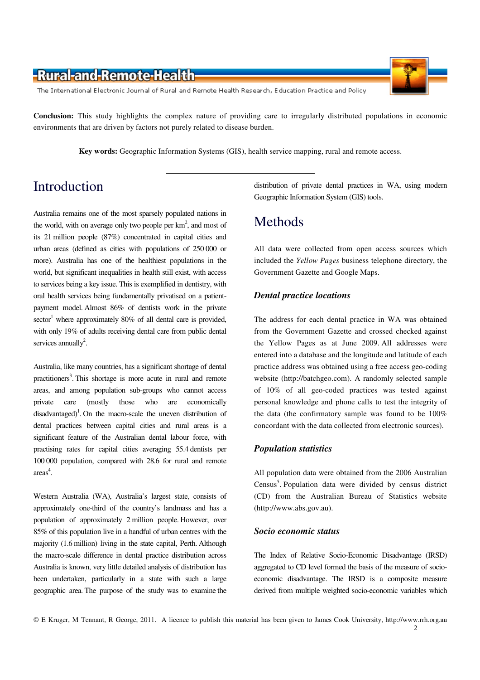The International Electronic Journal of Rural and Remote Health Research, Education Practice and Policy

**Conclusion:** This study highlights the complex nature of providing care to irregularly distributed populations in economic environments that are driven by factors not purely related to disease burden.

**Key words:** Geographic Information Systems (GIS), health service mapping, rural and remote access.

### Introduction

Australia remains one of the most sparsely populated nations in the world, with on average only two people per  $km<sup>2</sup>$ , and most of its 21 million people (87%) concentrated in capital cities and urban areas (defined as cities with populations of 250 000 or more). Australia has one of the healthiest populations in the world, but significant inequalities in health still exist, with access to services being a key issue. This is exemplified in dentistry, with oral health services being fundamentally privatised on a patientpayment model. Almost 86% of dentists work in the private  $sector<sup>1</sup>$  where approximately 80% of all dental care is provided, with only 19% of adults receiving dental care from public dental services annually<sup>2</sup>.

Australia, like many countries, has a significant shortage of dental practitioners<sup>3</sup>. This shortage is more acute in rural and remote areas, and among population sub-groups who cannot access private care (mostly those who are economically disadvantaged)<sup>1</sup>. On the macro-scale the uneven distribution of dental practices between capital cities and rural areas is a significant feature of the Australian dental labour force, with practising rates for capital cities averaging 55.4 dentists per 100 000 population, compared with 28.6 for rural and remote  $area<sup>4</sup>$ .

Western Australia (WA), Australia's largest state, consists of approximately one-third of the country's landmass and has a population of approximately 2 million people. However, over 85% of this population live in a handful of urban centres with the majority (1.6 million) living in the state capital, Perth. Although the macro-scale difference in dental practice distribution across Australia is known, very little detailed analysis of distribution has been undertaken, particularly in a state with such a large geographic area. The purpose of the study was to examine the

distribution of private dental practices in WA, using modern Geographic Information System (GIS) tools.

### Methods

All data were collected from open access sources which included the *Yellow Pages* business telephone directory, the Government Gazette and Google Maps.

#### *Dental practice locations*

The address for each dental practice in WA was obtained from the Government Gazette and crossed checked against the Yellow Pages as at June 2009. All addresses were entered into a database and the longitude and latitude of each practice address was obtained using a free access geo-coding website (http://batchgeo.com). A randomly selected sample of 10% of all geo-coded practices was tested against personal knowledge and phone calls to test the integrity of the data (the confirmatory sample was found to be 100% concordant with the data collected from electronic sources).

#### *Population statistics*

All population data were obtained from the 2006 Australian Census<sup>5</sup>. Population data were divided by census district (CD) from the Australian Bureau of Statistics website (http://www.abs.gov.au).

#### *Socio economic status*

The Index of Relative Socio-Economic Disadvantage (IRSD) aggregated to CD level formed the basis of the measure of socioeconomic disadvantage. The IRSD is a composite measure derived from multiple weighted socio-economic variables which



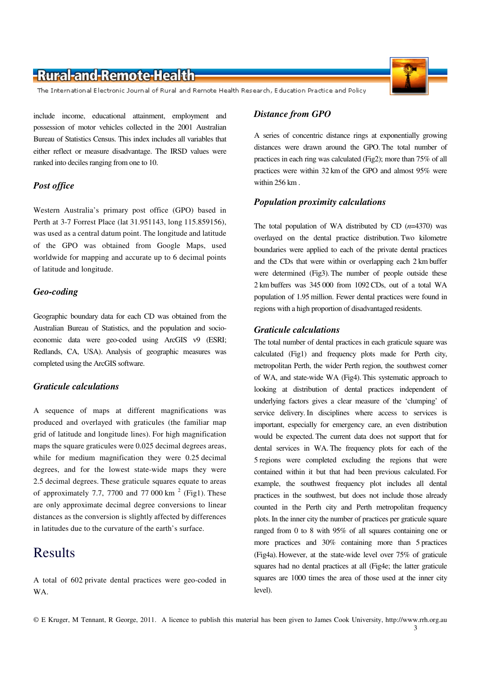The International Electronic Journal of Rural and Remote Health Research, Education Practice and Policy

include income, educational attainment, employment and possession of motor vehicles collected in the 2001 Australian Bureau of Statistics Census. This index includes all variables that either reflect or measure disadvantage. The IRSD values were ranked into deciles ranging from one to 10.

#### *Post office*

Western Australia's primary post office (GPO) based in Perth at 3-7 Forrest Place (lat 31.951143, long 115.859156), was used as a central datum point. The longitude and latitude of the GPO was obtained from Google Maps, used worldwide for mapping and accurate up to 6 decimal points of latitude and longitude.

#### *Geo-coding*

Geographic boundary data for each CD was obtained from the Australian Bureau of Statistics, and the population and socioeconomic data were geo-coded using ArcGIS v9 (ESRI; Redlands, CA, USA). Analysis of geographic measures was completed using the ArcGIS software.

#### *Graticule calculations*

A sequence of maps at different magnifications was produced and overlayed with graticules (the familiar map grid of latitude and longitude lines). For high magnification maps the square graticules were 0.025 decimal degrees areas, while for medium magnification they were 0.25 decimal degrees, and for the lowest state-wide maps they were 2.5 decimal degrees. These graticule squares equate to areas of approximately 7.7, 7700 and 77 000 km<sup>2</sup> (Fig1). These are only approximate decimal degree conversions to linear distances as the conversion is slightly affected by differences in latitudes due to the curvature of the earth's surface.

### Results

A total of 602 private dental practices were geo-coded in WA.

A series of concentric distance rings at exponentially growing distances were drawn around the GPO. The total number of practices in each ring was calculated (Fig2); more than 75% of all practices were within 32 km of the GPO and almost 95% were within 256 km .

#### *Population proximity calculations*

The total population of WA distributed by CD (*n*=4370) was overlayed on the dental practice distribution. Two kilometre boundaries were applied to each of the private dental practices and the CDs that were within or overlapping each 2 km buffer were determined (Fig3). The number of people outside these 2 km buffers was 345 000 from 1092 CDs, out of a total WA population of 1.95 million. Fewer dental practices were found in regions with a high proportion of disadvantaged residents.

#### *Graticule calculations*

The total number of dental practices in each graticule square was calculated (Fig1) and frequency plots made for Perth city, metropolitan Perth, the wider Perth region, the southwest corner of WA, and state-wide WA (Fig4). This systematic approach to looking at distribution of dental practices independent of underlying factors gives a clear measure of the 'clumping' of service delivery. In disciplines where access to services is important, especially for emergency care, an even distribution would be expected. The current data does not support that for dental services in WA. The frequency plots for each of the 5 regions were completed excluding the regions that were contained within it but that had been previous calculated. For example, the southwest frequency plot includes all dental practices in the southwest, but does not include those already counted in the Perth city and Perth metropolitan frequency plots. In the inner city the number of practices per graticule square ranged from 0 to 8 with 95% of all squares containing one or more practices and 30% containing more than 5 practices (Fig4a). However, at the state-wide level over 75% of graticule squares had no dental practices at all (Fig4e; the latter graticule squares are 1000 times the area of those used at the inner city level).

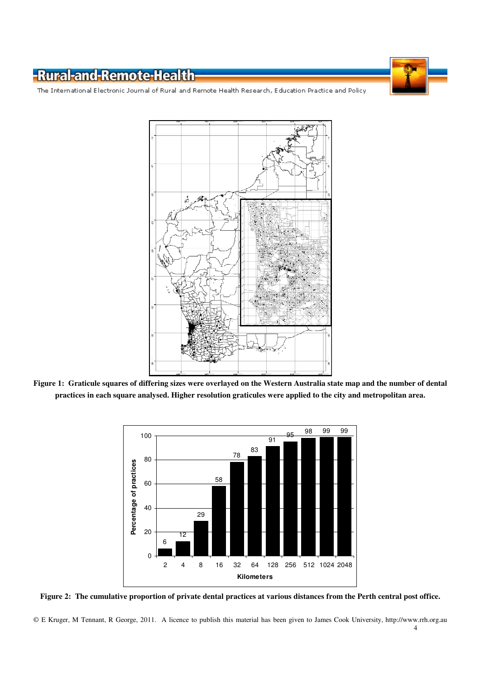The International Electronic Journal of Rural and Remote Health Research, Education Practice and Policy



**Figure 1: Graticule squares of differing sizes were overlayed on the Western Australia state map and the number of dental practices in each square analysed. Higher resolution graticules were applied to the city and metropolitan area.** 



**Figure 2: The cumulative proportion of private dental practices at various distances from the Perth central post office.**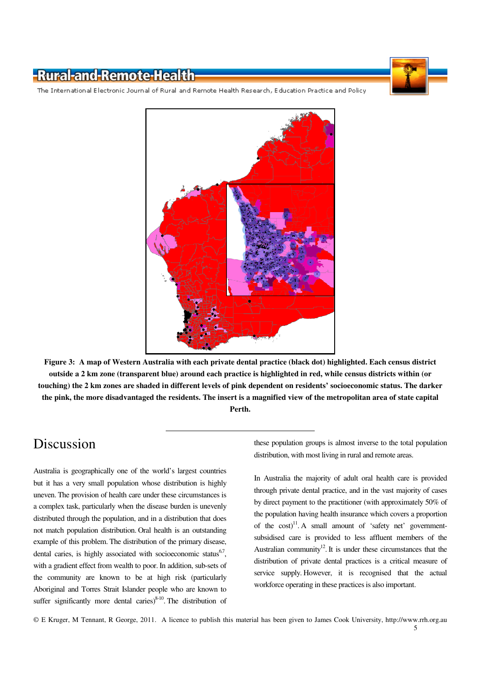The International Electronic Journal of Rural and Remote Health Research, Education Practice and Policy



**Figure 3: A map of Western Australia with each private dental practice (black dot) highlighted. Each census district outside a 2 km zone (transparent blue) around each practice is highlighted in red, while census districts within (or touching) the 2 km zones are shaded in different levels of pink dependent on residents' socioeconomic status. The darker the pink, the more disadvantaged the residents. The insert is a magnified view of the metropolitan area of state capital Perth.** 

### Discussion

Australia is geographically one of the world's largest countries but it has a very small population whose distribution is highly uneven. The provision of health care under these circumstances is a complex task, particularly when the disease burden is unevenly distributed through the population, and in a distribution that does not match population distribution. Oral health is an outstanding example of this problem. The distribution of the primary disease, dental caries, is highly associated with socioeconomic status<sup>6,7</sup>, with a gradient effect from wealth to poor. In addition, sub-sets of the community are known to be at high risk (particularly Aboriginal and Torres Strait Islander people who are known to suffer significantly more dental caries) $8-10$ . The distribution of

these population groups is almost inverse to the total population distribution, with most living in rural and remote areas.

In Australia the majority of adult oral health care is provided through private dental practice, and in the vast majority of cases by direct payment to the practitioner (with approximately 50% of the population having health insurance which covers a proportion of the  $cost$ <sup>11</sup>. A small amount of 'safety net' governmentsubsidised care is provided to less affluent members of the Australian community $12$ . It is under these circumstances that the distribution of private dental practices is a critical measure of service supply. However, it is recognised that the actual workforce operating in these practices is also important.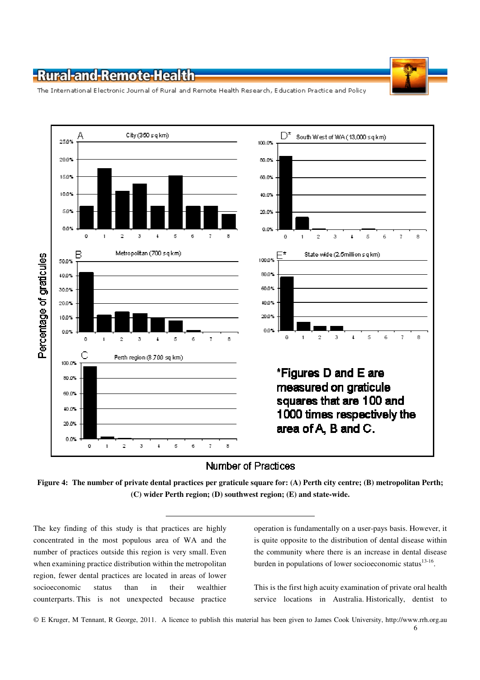The International Electronic Journal of Rural and Remote Health Research, Education Practice and Policy



### **Number of Practices**

**Figure 4: The number of private dental practices per graticule square for: (A) Perth city centre; (B) metropolitan Perth; (C) wider Perth region; (D) southwest region; (E) and state-wide.** 

The key finding of this study is that practices are highly concentrated in the most populous area of WA and the number of practices outside this region is very small. Even when examining practice distribution within the metropolitan region, fewer dental practices are located in areas of lower socioeconomic status than in their wealthier counterparts. This is not unexpected because practice

operation is fundamentally on a user-pays basis. However, it is quite opposite to the distribution of dental disease within the community where there is an increase in dental disease burden in populations of lower socioeconomic status $^{13-16}$ .

This is the first high acuity examination of private oral health service locations in Australia. Historically, dentist to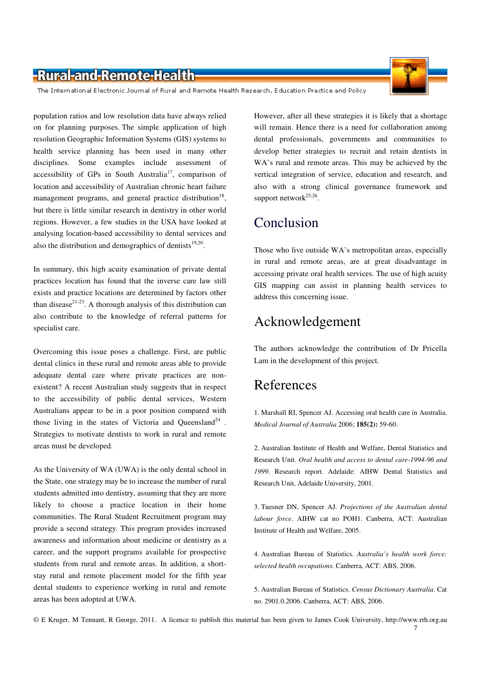

The International Electronic Journal of Rural and Remote Health Research, Education Practice and Policy

population ratios and low resolution data have always relied on for planning purposes. The simple application of high resolution Geographic Information Systems (GIS) systems to health service planning has been used in many other disciplines. Some examples include assessment of accessibility of GPs in South Australia<sup>17</sup>, comparison of location and accessibility of Australian chronic heart failure management programs, and general practice distribution<sup>18</sup>, but there is little similar research in dentistry in other world regions. However, a few studies in the USA have looked at analysing location-based accessibility to dental services and also the distribution and demographics of dentists $19,20$ .

In summary, this high acuity examination of private dental practices location has found that the inverse care law still exists and practice locations are determined by factors other than disease<sup>21-23</sup>. A thorough analysis of this distribution can also contribute to the knowledge of referral patterns for specialist care.

Overcoming this issue poses a challenge. First, are public dental clinics in these rural and remote areas able to provide adequate dental care where private practices are nonexistent? A recent Australian study suggests that in respect to the accessibility of public dental services, Western Australians appear to be in a poor position compared with those living in the states of Victoria and Queensland<sup>24</sup>. Strategies to motivate dentists to work in rural and remote areas must be developed.

As the University of WA (UWA) is the only dental school in the State, one strategy may be to increase the number of rural students admitted into dentistry, assuming that they are more likely to choose a practice location in their home communities. The Rural Student Recruitment program may provide a second strategy. This program provides increased awareness and information about medicine or dentistry as a career, and the support programs available for prospective students from rural and remote areas. In addition, a shortstay rural and remote placement model for the fifth year dental students to experience working in rural and remote areas has been adopted at UWA.

However, after all these strategies it is likely that a shortage will remain. Hence there is a need for collaboration among dental professionals, governments and communities to develop better strategies to recruit and retain dentists in WA's rural and remote areas. This may be achieved by the vertical integration of service, education and research, and also with a strong clinical governance framework and support network<sup>25,26</sup>.

## Conclusion

Those who live outside WA's metropolitan areas, especially in rural and remote areas, are at great disadvantage in accessing private oral health services. The use of high acuity GIS mapping can assist in planning health services to address this concerning issue.

### Acknowledgement

The authors acknowledge the contribution of Dr Pricella Lam in the development of this project.

### References

1. Marshall RI, Spencer AJ. Accessing oral health care in Australia. *Medical Journal of Australia* 2006; **185(2):** 59-60.

2. Australian Institute of Health and Welfare, Dental Statistics and Research Unit. *Oral health and access to dental care-1994-96 and 1999*. Research report. Adelaide: AIHW Dental Statistics and Research Unit, Adelaide University, 2001.

3. Tuesner DN, Spencer AJ. *Projections of the Australian dental labour force*. AIHW cat no POH1. Canberra, ACT: Australian Institute of Health and Welfare, 2005.

4. Australian Bureau of Statistics. *Australia's health work force: selected health occupations*. Canberra, ACT: ABS, 2006.

5. Australian Bureau of Statistics. *Census Dictionary Australia*. Cat no. 2901.0.2006. Canberra, ACT: ABS, 2006.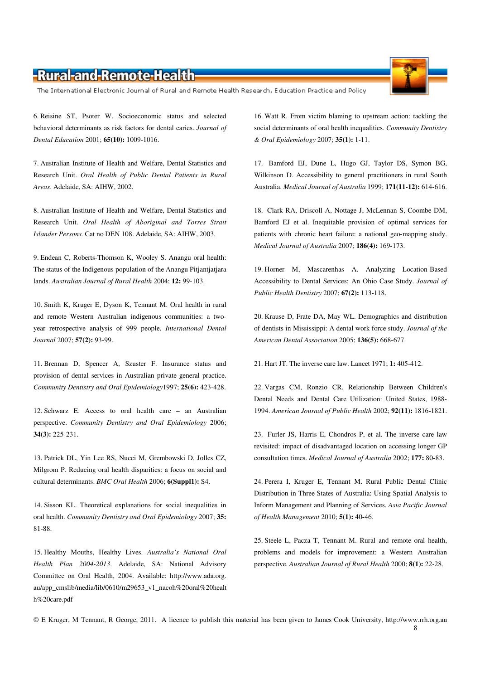The International Electronic Journal of Rural and Remote Health Research, Education Practice and Policy

6. Reisine ST, Psoter W. Socioeconomic status and selected behavioral determinants as risk factors for dental caries. *Journal of Dental Education* 2001; **65(10):** 1009-1016.

7. Australian Institute of Health and Welfare, Dental Statistics and Research Unit. *Oral Health of Public Dental Patients in Rural Areas*. Adelaide, SA: AIHW, 2002.

8. Australian Institute of Health and Welfare, Dental Statistics and Research Unit. *Oral Health of Aboriginal and Torres Strait Islander Persons.* Cat no DEN 108. Adelaide, SA: AIHW, 2003.

9. Endean C, Roberts-Thomson K, Wooley S. Anangu oral health: The status of the Indigenous population of the Anangu Pitjantjatjara lands. *Australian Journal of Rural Health* 2004; **12:** 99-103.

10. Smith K, Kruger E, Dyson K, Tennant M. Oral health in rural and remote Western Australian indigenous communities: a twoyear retrospective analysis of 999 people. *International Dental Journal* 2007; **57(2):** 93-99.

11. Brennan D, Spencer A, Szuster F. Insurance status and provision of dental services in Australian private general practice. *Community Dentistry and Oral Epidemiology*1997; **25(6):** 423-428.

12. Schwarz E. Access to oral health care – an Australian perspective. *Community Dentistry and Oral Epidemiology* 2006; **34(3):** 225-231.

13. Patrick DL, Yin Lee RS, Nucci M, Grembowski D, Jolles CZ, Milgrom P. Reducing oral health disparities: a focus on social and cultural determinants. *BMC Oral Health* 2006; **6(Suppl1):** S4.

14. Sisson KL. Theoretical explanations for social inequalities in oral health. *Community Dentistry and Oral Epidemiology* 2007; **35:** 81-88.

15. Healthy Mouths, Healthy Lives. *Australia's National Oral Health Plan 2004-2013*. Adelaide, SA: National Advisory Committee on Oral Health, 2004. Available: http://www.ada.org. au/app\_cmslib/media/lib/0610/m29653\_v1\_nacoh%20oral%20healt h%20care.pdf

16. Watt R. From victim blaming to upstream action: tackling the social determinants of oral health inequalities. *Community Dentistry & Oral Epidemiology* 2007; **35(1):** 1-11.

17. Bamford EJ, Dune L, Hugo GJ, Taylor DS, Symon BG, Wilkinson D. Accessibility to general practitioners in rural South Australia. *Medical Journal of Australia* 1999; **171(11-12):** 614-616.

18. Clark RA, Driscoll A, Nottage J, McLennan S, Coombe DM, Bamford EJ et al. Inequitable provision of optimal services for patients with chronic heart failure: a national geo-mapping study. *Medical Journal of Australia* 2007; **186(4):** 169-173.

19. Horner M, Mascarenhas A. Analyzing Location-Based Accessibility to Dental Services: An Ohio Case Study. *Journal of Public Health Dentistry* 2007; **67(2):** 113-118.

20. Krause D, Frate DA, May WL. Demographics and distribution of dentists in Mississippi: A dental work force study. *Journal of the American Dental Association* 2005; **136(5):** 668-677.

21. Hart JT. The inverse care law. Lancet 1971; **1:** 405-412.

22. Vargas CM, Ronzio CR. Relationship Between Children's Dental Needs and Dental Care Utilization: United States, 1988- 1994. *American Journal of Public Health* 2002; **92(11):** 1816-1821.

23. Furler JS, Harris E, Chondros P, et al. The inverse care law revisited: impact of disadvantaged location on accessing longer GP consultation times. *Medical Journal of Australia* 2002; **177:** 80-83.

24. Perera I, Kruger E, Tennant M. Rural Public Dental Clinic Distribution in Three States of Australia: Using Spatial Analysis to Inform Management and Planning of Services. *Asia Pacific Journal of Health Management* 2010; **5(1):** 40-46.

25. Steele L, Pacza T, Tennant M. Rural and remote oral health, problems and models for improvement: a Western Australian perspective. *Australian Journal of Rural Health* 2000; **8(1):** 22-28.



<sup>©</sup> E Kruger, M Tennant, R George, 2011. A licence to publish this material has been given to James Cook University, http://www.rrh.org.au